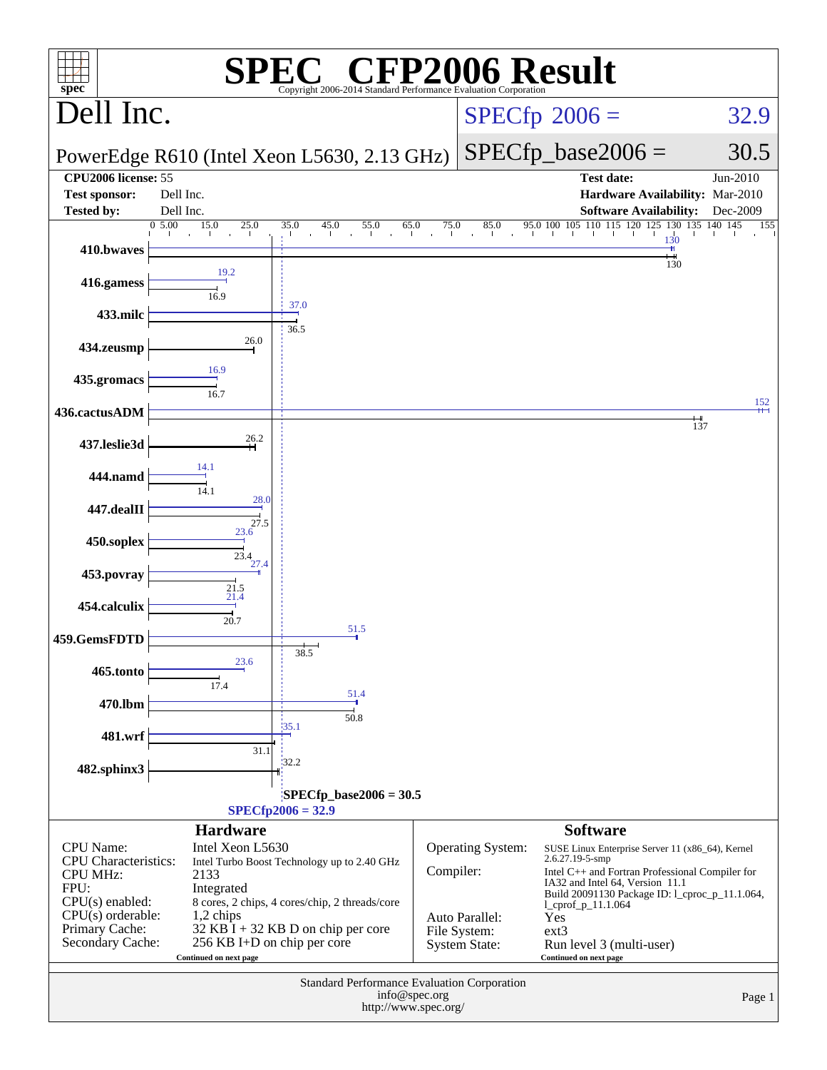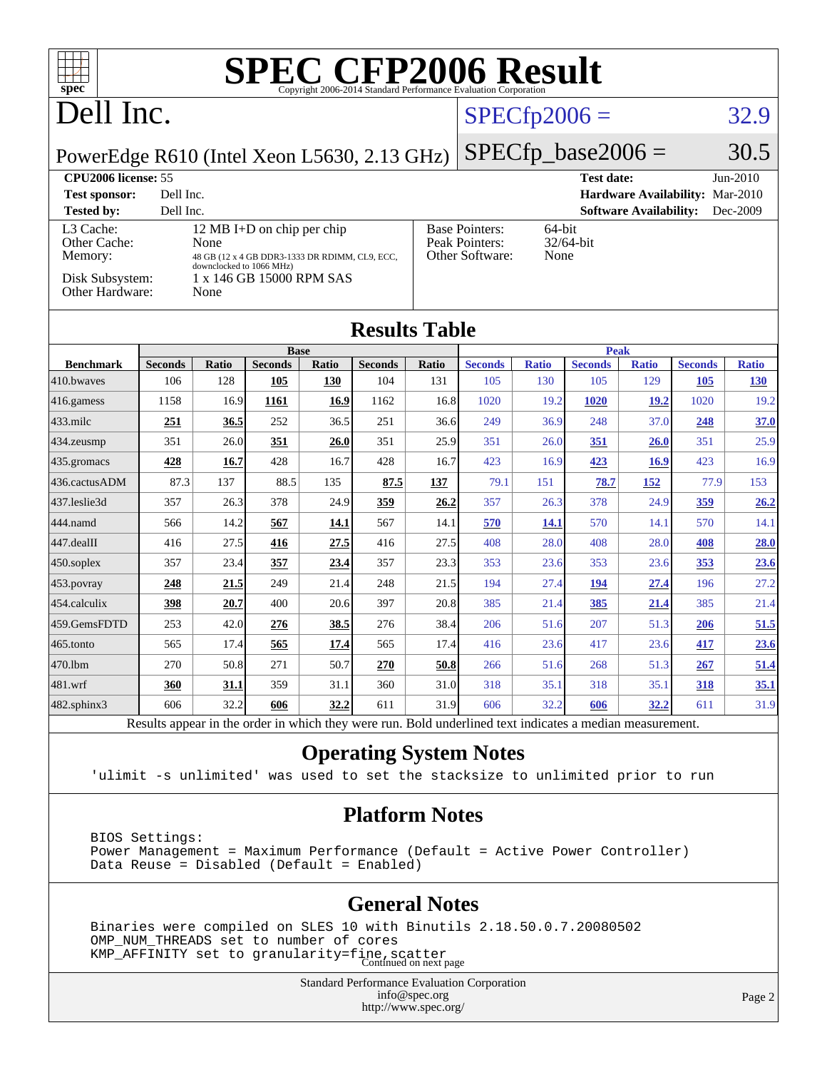| <b>SPEC CFP2006 Result</b><br>┱┪<br>$spec^*$<br>Copyright 2006-2014 Standard Performance Evaluation Corporation |                |              |                                                |       |                |       |                                                                |              |                |              |                |              |
|-----------------------------------------------------------------------------------------------------------------|----------------|--------------|------------------------------------------------|-------|----------------|-------|----------------------------------------------------------------|--------------|----------------|--------------|----------------|--------------|
| Dell Inc.<br>$SPECfp2006 =$                                                                                     |                |              |                                                |       |                |       |                                                                | 32.9         |                |              |                |              |
| $SPECfp\_base2006 =$<br>PowerEdge R610 (Intel Xeon L5630, 2.13 GHz)                                             |                |              |                                                |       |                |       |                                                                |              | 30.5           |              |                |              |
| <b>CPU2006</b> license: 55                                                                                      |                |              |                                                |       |                |       | <b>Test date:</b>                                              |              |                | $Jun-2010$   |                |              |
| Dell Inc.<br>Hardware Availability: Mar-2010<br><b>Test sponsor:</b>                                            |                |              |                                                |       |                |       |                                                                |              |                |              |                |              |
| Dell Inc.<br><b>Tested by:</b><br><b>Software Availability:</b><br>Dec-2009<br>12 MB I+D on chip per chip       |                |              |                                                |       |                |       |                                                                |              |                |              |                |              |
| L3 Cache:<br>Other Cache:                                                                                       |                | None         |                                                |       |                |       | <b>Base Pointers:</b><br>64-bit<br>Peak Pointers:<br>32/64-bit |              |                |              |                |              |
| Memory:                                                                                                         |                |              | 48 GB (12 x 4 GB DDR3-1333 DR RDIMM, CL9, ECC, |       |                |       | Other Software:<br>None                                        |              |                |              |                |              |
| downclocked to 1066 MHz)<br>Disk Subsystem:<br>1 x 146 GB 15000 RPM SAS<br>Other Hardware:<br>None              |                |              |                                                |       |                |       |                                                                |              |                |              |                |              |
| <b>Results Table</b>                                                                                            |                |              |                                                |       |                |       |                                                                |              |                |              |                |              |
|                                                                                                                 |                |              | <b>Base</b>                                    |       |                |       | <b>Peak</b>                                                    |              |                |              |                |              |
| <b>Benchmark</b>                                                                                                | <b>Seconds</b> | <b>Ratio</b> | <b>Seconds</b>                                 | Ratio | <b>Seconds</b> | Ratio | <b>Seconds</b>                                                 | <b>Ratio</b> | <b>Seconds</b> | <b>Ratio</b> | <b>Seconds</b> | <b>Ratio</b> |
| 410.bwayes                                                                                                      | 106            | 128          | 105                                            | 130   | 104            | 131   | 105                                                            | 130          | 105            | 129          | 105            | <b>130</b>   |
| 416.gamess                                                                                                      | 1158           | 16.9         | 1161                                           | 16.9  | 1162           | 16.8  | 1020                                                           | 19.2         | <b>1020</b>    | 19.2         | 1020           | 19.2         |
| 433.milc                                                                                                        | 251            | 36.5         | 252                                            | 36.5  | 251            | 36.6  | 249                                                            | 36.9         | 248            | 37.0         | 248            | 37.0         |
| 434.zeusmp                                                                                                      | 351            | 26.0         | 351                                            | 26.0  | 351            | 25.9  | 351                                                            | 26.0         | 351            | 26.0         | 351            | 25.9         |
| 435.gromacs                                                                                                     | 428            | 16.7         | 428                                            | 16.7  | 428            | 16.7  | 423                                                            | 16.9         | 423            | <b>16.9</b>  | 423            | 16.9         |
| 436.cactusADM                                                                                                   | 87.3           | 137          | 88.5                                           | 135   | 87.5           | 137   | 79.1                                                           | 151          | 78.7           | 152          | 77.9           | 153          |
| 437.leslie3d                                                                                                    | 357            | 26.3         | 378                                            | 24.9  | 359            | 26.2  | 357                                                            | 26.3         | 378            | 24.9         | 359            | 26.2         |
| 444.namd                                                                                                        | 566            | 14.2         | 567                                            | 14.1  | 567            | 14.1  | 570                                                            | 14.1         | 570            | 14.1         | 570            | 14.1         |
| 447.dealII                                                                                                      | 416            | 27.5         | 416                                            | 27.5  | 416            | 27.5  | 408                                                            | 28.0         | 408            | 28.0         | 408            | 28.0         |
| $450$ .soplex                                                                                                   | 357            | 23.4         | 357                                            | 23.4  | 357            | 23.3  | 353                                                            | 23.6         | 353            | 23.6         | 353            | 23.6         |
| 453.povray                                                                                                      | 248            | 21.5         | 249                                            | 21.4  | 248            | 21.5  | 194                                                            | 27.4         | 194            | 27.4         | 196            | 27.2         |
| 454.calculix                                                                                                    | 398            | 20.7         | 400                                            | 20.6  | 397            | 20.8  | 385                                                            | 21.4         | 385            | 21.4         | 385            | 21.4         |
| 459.GemsFDTD                                                                                                    | 253            | 42.0         | 276                                            | 38.5  | 276            | 38.4  | 206                                                            | 51.6         | 207            | 51.3         | 206            | 51.5         |
| 465.tonto                                                                                                       | 565            | 17.4         | 565                                            | 17.4  | 565            | 17.4  | 416                                                            | 23.6         | 417            | 23.6         | 417            | 23.6         |
| 470.1bm                                                                                                         | 270            | 50.8         | 271                                            | 50.7  | 270            | 50.8  | 266                                                            | 51.6         | 268            | 51.3         | 267            | 51.4         |
| 481.wrf                                                                                                         | 360            | 31.1         | 359                                            | 31.1  | 360            | 31.0  | 318                                                            | 35.1         | 318            | 35.1         | 318            | <u>35.1</u>  |
| 482.sphinx3                                                                                                     | 606            | 32.2         | 606                                            | 32.2  | 611            | 31.9  | 606                                                            | 32.2         | 606            | 32.2         | 611            | 31.9         |
| Results appear in the order in which they were run. Bold underlined text indicates a median measurement.        |                |              |                                                |       |                |       |                                                                |              |                |              |                |              |

#### **[Operating System Notes](http://www.spec.org/auto/cpu2006/Docs/result-fields.html#OperatingSystemNotes)**

'ulimit -s unlimited' was used to set the stacksize to unlimited prior to run

#### **[Platform Notes](http://www.spec.org/auto/cpu2006/Docs/result-fields.html#PlatformNotes)**

 BIOS Settings: Power Management = Maximum Performance (Default = Active Power Controller) Data Reuse = Disabled (Default = Enabled)

#### **[General Notes](http://www.spec.org/auto/cpu2006/Docs/result-fields.html#GeneralNotes)**

 Binaries were compiled on SLES 10 with Binutils 2.18.50.0.7.20080502 OMP\_NUM\_THREADS set to number of cores KMP\_AFFINITY set to granularity=fine, scatter<br>Continued on next page

> Standard Performance Evaluation Corporation [info@spec.org](mailto:info@spec.org) <http://www.spec.org/>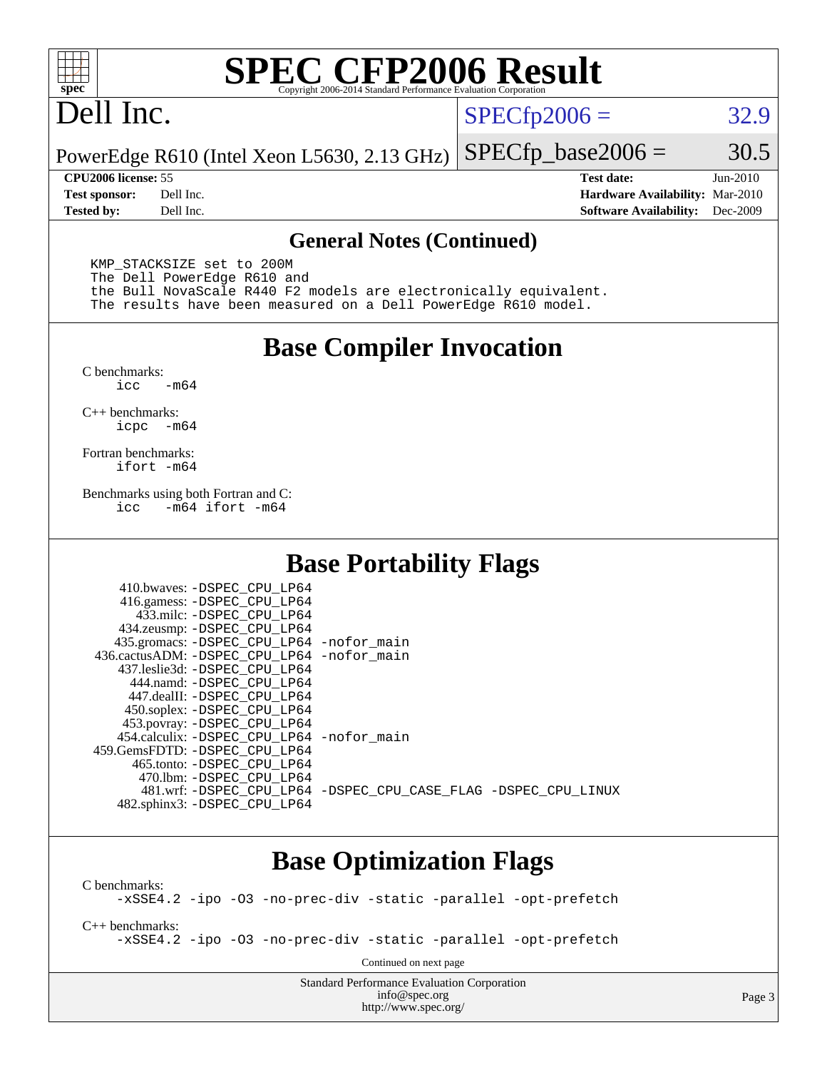

# **[SPEC CFP2006 Result](http://www.spec.org/auto/cpu2006/Docs/result-fields.html#SPECCFP2006Result)**

## Dell Inc.

 $SPECTp2006 = 32.9$ 

PowerEdge R610 (Intel Xeon L5630, 2.13 GHz)  $SPECTp\_base2006 = 30.5$ 

**[CPU2006 license:](http://www.spec.org/auto/cpu2006/Docs/result-fields.html#CPU2006license)** 55 **[Test date:](http://www.spec.org/auto/cpu2006/Docs/result-fields.html#Testdate)** Jun-2010 **[Test sponsor:](http://www.spec.org/auto/cpu2006/Docs/result-fields.html#Testsponsor)** Dell Inc. **[Hardware Availability:](http://www.spec.org/auto/cpu2006/Docs/result-fields.html#HardwareAvailability)** Mar-2010 **[Tested by:](http://www.spec.org/auto/cpu2006/Docs/result-fields.html#Testedby)** Dell Inc. **[Software Availability:](http://www.spec.org/auto/cpu2006/Docs/result-fields.html#SoftwareAvailability)** Dec-2009

#### **[General Notes \(Continued\)](http://www.spec.org/auto/cpu2006/Docs/result-fields.html#GeneralNotes)**

 KMP\_STACKSIZE set to 200M The Dell PowerEdge R610 and the Bull NovaScale R440 F2 models are electronically equivalent. The results have been measured on a Dell PowerEdge R610 model.

#### **[Base Compiler Invocation](http://www.spec.org/auto/cpu2006/Docs/result-fields.html#BaseCompilerInvocation)**

 $C$  benchmarks:<br>icc  $-m64$ 

[C++ benchmarks:](http://www.spec.org/auto/cpu2006/Docs/result-fields.html#CXXbenchmarks) [icpc -m64](http://www.spec.org/cpu2006/results/res2010q3/cpu2006-20100702-12142.flags.html#user_CXXbase_intel_icpc_64bit_bedb90c1146cab66620883ef4f41a67e)

[Fortran benchmarks](http://www.spec.org/auto/cpu2006/Docs/result-fields.html#Fortranbenchmarks): [ifort -m64](http://www.spec.org/cpu2006/results/res2010q3/cpu2006-20100702-12142.flags.html#user_FCbase_intel_ifort_64bit_ee9d0fb25645d0210d97eb0527dcc06e)

[Benchmarks using both Fortran and C](http://www.spec.org/auto/cpu2006/Docs/result-fields.html#BenchmarksusingbothFortranandC): [icc -m64](http://www.spec.org/cpu2006/results/res2010q3/cpu2006-20100702-12142.flags.html#user_CC_FCbase_intel_icc_64bit_0b7121f5ab7cfabee23d88897260401c) [ifort -m64](http://www.spec.org/cpu2006/results/res2010q3/cpu2006-20100702-12142.flags.html#user_CC_FCbase_intel_ifort_64bit_ee9d0fb25645d0210d97eb0527dcc06e)

#### **[Base Portability Flags](http://www.spec.org/auto/cpu2006/Docs/result-fields.html#BasePortabilityFlags)**

| 410.bwaves: -DSPEC CPU LP64                  |                                                                |
|----------------------------------------------|----------------------------------------------------------------|
| 416.gamess: - DSPEC_CPU_LP64                 |                                                                |
| 433.milc: -DSPEC CPU LP64                    |                                                                |
| 434.zeusmp: -DSPEC_CPU_LP64                  |                                                                |
| 435.gromacs: -DSPEC_CPU_LP64 -nofor_main     |                                                                |
| 436.cactusADM: - DSPEC CPU LP64 - nofor main |                                                                |
| 437.leslie3d: -DSPEC CPU LP64                |                                                                |
| 444.namd: -DSPEC CPU LP64                    |                                                                |
| 447.dealII: -DSPEC CPU LP64                  |                                                                |
| 450.soplex: -DSPEC_CPU_LP64                  |                                                                |
| 453.povray: -DSPEC_CPU_LP64                  |                                                                |
| 454.calculix: -DSPEC CPU LP64 -nofor main    |                                                                |
| 459. GemsFDTD: - DSPEC CPU LP64              |                                                                |
| 465.tonto: - DSPEC CPU LP64                  |                                                                |
| 470.1bm: - DSPEC CPU LP64                    |                                                                |
|                                              | 481.wrf: -DSPEC CPU_LP64 -DSPEC_CPU_CASE_FLAG -DSPEC_CPU_LINUX |
| 482.sphinx3: -DSPEC_CPU_LP64                 |                                                                |

### **[Base Optimization Flags](http://www.spec.org/auto/cpu2006/Docs/result-fields.html#BaseOptimizationFlags)**

[C benchmarks](http://www.spec.org/auto/cpu2006/Docs/result-fields.html#Cbenchmarks): [-xSSE4.2](http://www.spec.org/cpu2006/results/res2010q3/cpu2006-20100702-12142.flags.html#user_CCbase_f-xSSE42_f91528193cf0b216347adb8b939d4107) [-ipo](http://www.spec.org/cpu2006/results/res2010q3/cpu2006-20100702-12142.flags.html#user_CCbase_f-ipo) [-O3](http://www.spec.org/cpu2006/results/res2010q3/cpu2006-20100702-12142.flags.html#user_CCbase_f-O3) [-no-prec-div](http://www.spec.org/cpu2006/results/res2010q3/cpu2006-20100702-12142.flags.html#user_CCbase_f-no-prec-div) [-static](http://www.spec.org/cpu2006/results/res2010q3/cpu2006-20100702-12142.flags.html#user_CCbase_f-static) [-parallel](http://www.spec.org/cpu2006/results/res2010q3/cpu2006-20100702-12142.flags.html#user_CCbase_f-parallel) [-opt-prefetch](http://www.spec.org/cpu2006/results/res2010q3/cpu2006-20100702-12142.flags.html#user_CCbase_f-opt-prefetch) [C++ benchmarks:](http://www.spec.org/auto/cpu2006/Docs/result-fields.html#CXXbenchmarks) [-xSSE4.2](http://www.spec.org/cpu2006/results/res2010q3/cpu2006-20100702-12142.flags.html#user_CXXbase_f-xSSE42_f91528193cf0b216347adb8b939d4107) [-ipo](http://www.spec.org/cpu2006/results/res2010q3/cpu2006-20100702-12142.flags.html#user_CXXbase_f-ipo) [-O3](http://www.spec.org/cpu2006/results/res2010q3/cpu2006-20100702-12142.flags.html#user_CXXbase_f-O3) [-no-prec-div](http://www.spec.org/cpu2006/results/res2010q3/cpu2006-20100702-12142.flags.html#user_CXXbase_f-no-prec-div) [-static](http://www.spec.org/cpu2006/results/res2010q3/cpu2006-20100702-12142.flags.html#user_CXXbase_f-static) [-parallel](http://www.spec.org/cpu2006/results/res2010q3/cpu2006-20100702-12142.flags.html#user_CXXbase_f-parallel) [-opt-prefetch](http://www.spec.org/cpu2006/results/res2010q3/cpu2006-20100702-12142.flags.html#user_CXXbase_f-opt-prefetch) Continued on next page

> Standard Performance Evaluation Corporation [info@spec.org](mailto:info@spec.org) <http://www.spec.org/>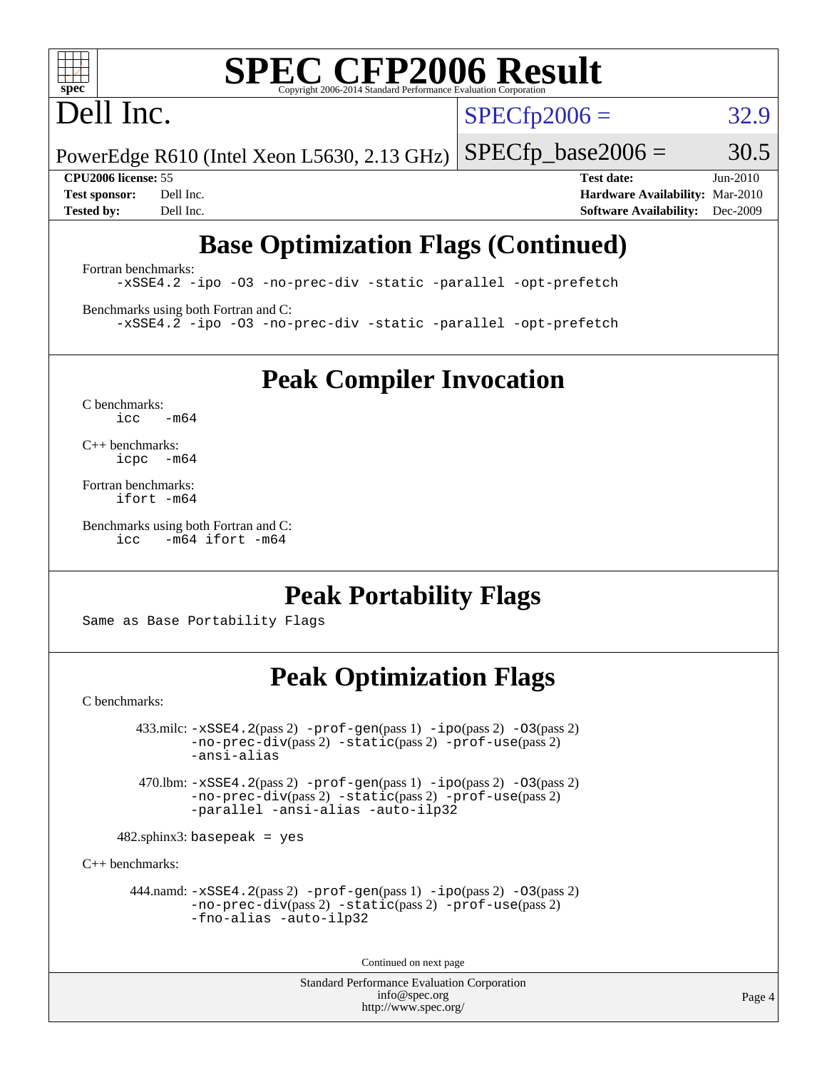# **[SPEC CFP2006 Result](http://www.spec.org/auto/cpu2006/Docs/result-fields.html#SPECCFP2006Result)**

# Dell Inc.

 $SPECfp2006 = 32.9$  $SPECfp2006 = 32.9$ 

PowerEdge R610 (Intel Xeon L5630, 2.13 GHz)  $SPECTp\_base2006 = 30.5$ 

**[CPU2006 license:](http://www.spec.org/auto/cpu2006/Docs/result-fields.html#CPU2006license)** 55 **[Test date:](http://www.spec.org/auto/cpu2006/Docs/result-fields.html#Testdate)** Jun-2010 **[Test sponsor:](http://www.spec.org/auto/cpu2006/Docs/result-fields.html#Testsponsor)** Dell Inc. **[Hardware Availability:](http://www.spec.org/auto/cpu2006/Docs/result-fields.html#HardwareAvailability)** Mar-2010 **[Tested by:](http://www.spec.org/auto/cpu2006/Docs/result-fields.html#Testedby)** Dell Inc. **[Software Availability:](http://www.spec.org/auto/cpu2006/Docs/result-fields.html#SoftwareAvailability)** Dec-2009

## **[Base Optimization Flags \(Continued\)](http://www.spec.org/auto/cpu2006/Docs/result-fields.html#BaseOptimizationFlags)**

[Fortran benchmarks](http://www.spec.org/auto/cpu2006/Docs/result-fields.html#Fortranbenchmarks): [-xSSE4.2](http://www.spec.org/cpu2006/results/res2010q3/cpu2006-20100702-12142.flags.html#user_FCbase_f-xSSE42_f91528193cf0b216347adb8b939d4107) [-ipo](http://www.spec.org/cpu2006/results/res2010q3/cpu2006-20100702-12142.flags.html#user_FCbase_f-ipo) [-O3](http://www.spec.org/cpu2006/results/res2010q3/cpu2006-20100702-12142.flags.html#user_FCbase_f-O3) [-no-prec-div](http://www.spec.org/cpu2006/results/res2010q3/cpu2006-20100702-12142.flags.html#user_FCbase_f-no-prec-div) [-static](http://www.spec.org/cpu2006/results/res2010q3/cpu2006-20100702-12142.flags.html#user_FCbase_f-static) [-parallel](http://www.spec.org/cpu2006/results/res2010q3/cpu2006-20100702-12142.flags.html#user_FCbase_f-parallel) [-opt-prefetch](http://www.spec.org/cpu2006/results/res2010q3/cpu2006-20100702-12142.flags.html#user_FCbase_f-opt-prefetch)

[Benchmarks using both Fortran and C](http://www.spec.org/auto/cpu2006/Docs/result-fields.html#BenchmarksusingbothFortranandC): [-xSSE4.2](http://www.spec.org/cpu2006/results/res2010q3/cpu2006-20100702-12142.flags.html#user_CC_FCbase_f-xSSE42_f91528193cf0b216347adb8b939d4107) [-ipo](http://www.spec.org/cpu2006/results/res2010q3/cpu2006-20100702-12142.flags.html#user_CC_FCbase_f-ipo) [-O3](http://www.spec.org/cpu2006/results/res2010q3/cpu2006-20100702-12142.flags.html#user_CC_FCbase_f-O3) [-no-prec-div](http://www.spec.org/cpu2006/results/res2010q3/cpu2006-20100702-12142.flags.html#user_CC_FCbase_f-no-prec-div) [-static](http://www.spec.org/cpu2006/results/res2010q3/cpu2006-20100702-12142.flags.html#user_CC_FCbase_f-static) [-parallel](http://www.spec.org/cpu2006/results/res2010q3/cpu2006-20100702-12142.flags.html#user_CC_FCbase_f-parallel) [-opt-prefetch](http://www.spec.org/cpu2006/results/res2010q3/cpu2006-20100702-12142.flags.html#user_CC_FCbase_f-opt-prefetch)

**[Peak Compiler Invocation](http://www.spec.org/auto/cpu2006/Docs/result-fields.html#PeakCompilerInvocation)**

[C benchmarks](http://www.spec.org/auto/cpu2006/Docs/result-fields.html#Cbenchmarks):  $icc$   $-m64$ 

[C++ benchmarks:](http://www.spec.org/auto/cpu2006/Docs/result-fields.html#CXXbenchmarks) [icpc -m64](http://www.spec.org/cpu2006/results/res2010q3/cpu2006-20100702-12142.flags.html#user_CXXpeak_intel_icpc_64bit_bedb90c1146cab66620883ef4f41a67e)

[Fortran benchmarks](http://www.spec.org/auto/cpu2006/Docs/result-fields.html#Fortranbenchmarks): [ifort -m64](http://www.spec.org/cpu2006/results/res2010q3/cpu2006-20100702-12142.flags.html#user_FCpeak_intel_ifort_64bit_ee9d0fb25645d0210d97eb0527dcc06e)

[Benchmarks using both Fortran and C](http://www.spec.org/auto/cpu2006/Docs/result-fields.html#BenchmarksusingbothFortranandC): [icc -m64](http://www.spec.org/cpu2006/results/res2010q3/cpu2006-20100702-12142.flags.html#user_CC_FCpeak_intel_icc_64bit_0b7121f5ab7cfabee23d88897260401c) [ifort -m64](http://www.spec.org/cpu2006/results/res2010q3/cpu2006-20100702-12142.flags.html#user_CC_FCpeak_intel_ifort_64bit_ee9d0fb25645d0210d97eb0527dcc06e)

### **[Peak Portability Flags](http://www.spec.org/auto/cpu2006/Docs/result-fields.html#PeakPortabilityFlags)**

Same as Base Portability Flags

### **[Peak Optimization Flags](http://www.spec.org/auto/cpu2006/Docs/result-fields.html#PeakOptimizationFlags)**

[C benchmarks](http://www.spec.org/auto/cpu2006/Docs/result-fields.html#Cbenchmarks):

 $433.\text{mile: } -x\text{SSE4}.2(\text{pass 2}) -\text{prof-gen}(\text{pass 1}) - \text{ipo}(\text{pass 2}) -\text{O3}(\text{pass 2})$ [-no-prec-div](http://www.spec.org/cpu2006/results/res2010q3/cpu2006-20100702-12142.flags.html#user_peakPASS2_CFLAGSPASS2_LDFLAGS433_milc_f-no-prec-div)(pass 2) [-static](http://www.spec.org/cpu2006/results/res2010q3/cpu2006-20100702-12142.flags.html#user_peakPASS2_CFLAGSPASS2_LDFLAGS433_milc_f-static)(pass 2) [-prof-use](http://www.spec.org/cpu2006/results/res2010q3/cpu2006-20100702-12142.flags.html#user_peakPASS2_CFLAGSPASS2_LDFLAGS433_milc_prof_use_bccf7792157ff70d64e32fe3e1250b55)(pass 2) [-ansi-alias](http://www.spec.org/cpu2006/results/res2010q3/cpu2006-20100702-12142.flags.html#user_peakOPTIMIZE433_milc_f-ansi-alias)

 470.lbm: [-xSSE4.2](http://www.spec.org/cpu2006/results/res2010q3/cpu2006-20100702-12142.flags.html#user_peakPASS2_CFLAGSPASS2_LDFLAGS470_lbm_f-xSSE42_f91528193cf0b216347adb8b939d4107)(pass 2) [-prof-gen](http://www.spec.org/cpu2006/results/res2010q3/cpu2006-20100702-12142.flags.html#user_peakPASS1_CFLAGSPASS1_LDFLAGS470_lbm_prof_gen_e43856698f6ca7b7e442dfd80e94a8fc)(pass 1) [-ipo](http://www.spec.org/cpu2006/results/res2010q3/cpu2006-20100702-12142.flags.html#user_peakPASS2_CFLAGSPASS2_LDFLAGS470_lbm_f-ipo)(pass 2) [-O3](http://www.spec.org/cpu2006/results/res2010q3/cpu2006-20100702-12142.flags.html#user_peakPASS2_CFLAGSPASS2_LDFLAGS470_lbm_f-O3)(pass 2) [-no-prec-div](http://www.spec.org/cpu2006/results/res2010q3/cpu2006-20100702-12142.flags.html#user_peakPASS2_CFLAGSPASS2_LDFLAGS470_lbm_f-no-prec-div)(pass 2) [-static](http://www.spec.org/cpu2006/results/res2010q3/cpu2006-20100702-12142.flags.html#user_peakPASS2_CFLAGSPASS2_LDFLAGS470_lbm_f-static)(pass 2) [-prof-use](http://www.spec.org/cpu2006/results/res2010q3/cpu2006-20100702-12142.flags.html#user_peakPASS2_CFLAGSPASS2_LDFLAGS470_lbm_prof_use_bccf7792157ff70d64e32fe3e1250b55)(pass 2) [-parallel](http://www.spec.org/cpu2006/results/res2010q3/cpu2006-20100702-12142.flags.html#user_peakOPTIMIZE470_lbm_f-parallel) [-ansi-alias](http://www.spec.org/cpu2006/results/res2010q3/cpu2006-20100702-12142.flags.html#user_peakOPTIMIZE470_lbm_f-ansi-alias) [-auto-ilp32](http://www.spec.org/cpu2006/results/res2010q3/cpu2006-20100702-12142.flags.html#user_peakCOPTIMIZE470_lbm_f-auto-ilp32)

 $482$ .sphinx3: basepeak = yes

[C++ benchmarks:](http://www.spec.org/auto/cpu2006/Docs/result-fields.html#CXXbenchmarks)

 444.namd: [-xSSE4.2](http://www.spec.org/cpu2006/results/res2010q3/cpu2006-20100702-12142.flags.html#user_peakPASS2_CXXFLAGSPASS2_LDFLAGS444_namd_f-xSSE42_f91528193cf0b216347adb8b939d4107)(pass 2) [-prof-gen](http://www.spec.org/cpu2006/results/res2010q3/cpu2006-20100702-12142.flags.html#user_peakPASS1_CXXFLAGSPASS1_LDFLAGS444_namd_prof_gen_e43856698f6ca7b7e442dfd80e94a8fc)(pass 1) [-ipo](http://www.spec.org/cpu2006/results/res2010q3/cpu2006-20100702-12142.flags.html#user_peakPASS2_CXXFLAGSPASS2_LDFLAGS444_namd_f-ipo)(pass 2) [-O3](http://www.spec.org/cpu2006/results/res2010q3/cpu2006-20100702-12142.flags.html#user_peakPASS2_CXXFLAGSPASS2_LDFLAGS444_namd_f-O3)(pass 2) [-no-prec-div](http://www.spec.org/cpu2006/results/res2010q3/cpu2006-20100702-12142.flags.html#user_peakPASS2_CXXFLAGSPASS2_LDFLAGS444_namd_f-no-prec-div)(pass 2) [-static](http://www.spec.org/cpu2006/results/res2010q3/cpu2006-20100702-12142.flags.html#user_peakPASS2_CXXFLAGSPASS2_LDFLAGS444_namd_f-static)(pass 2) [-prof-use](http://www.spec.org/cpu2006/results/res2010q3/cpu2006-20100702-12142.flags.html#user_peakPASS2_CXXFLAGSPASS2_LDFLAGS444_namd_prof_use_bccf7792157ff70d64e32fe3e1250b55)(pass 2) [-fno-alias](http://www.spec.org/cpu2006/results/res2010q3/cpu2006-20100702-12142.flags.html#user_peakOPTIMIZE444_namd_f-no-alias_694e77f6c5a51e658e82ccff53a9e63a) [-auto-ilp32](http://www.spec.org/cpu2006/results/res2010q3/cpu2006-20100702-12142.flags.html#user_peakCXXOPTIMIZE444_namd_f-auto-ilp32)

Continued on next page

Standard Performance Evaluation Corporation [info@spec.org](mailto:info@spec.org) <http://www.spec.org/>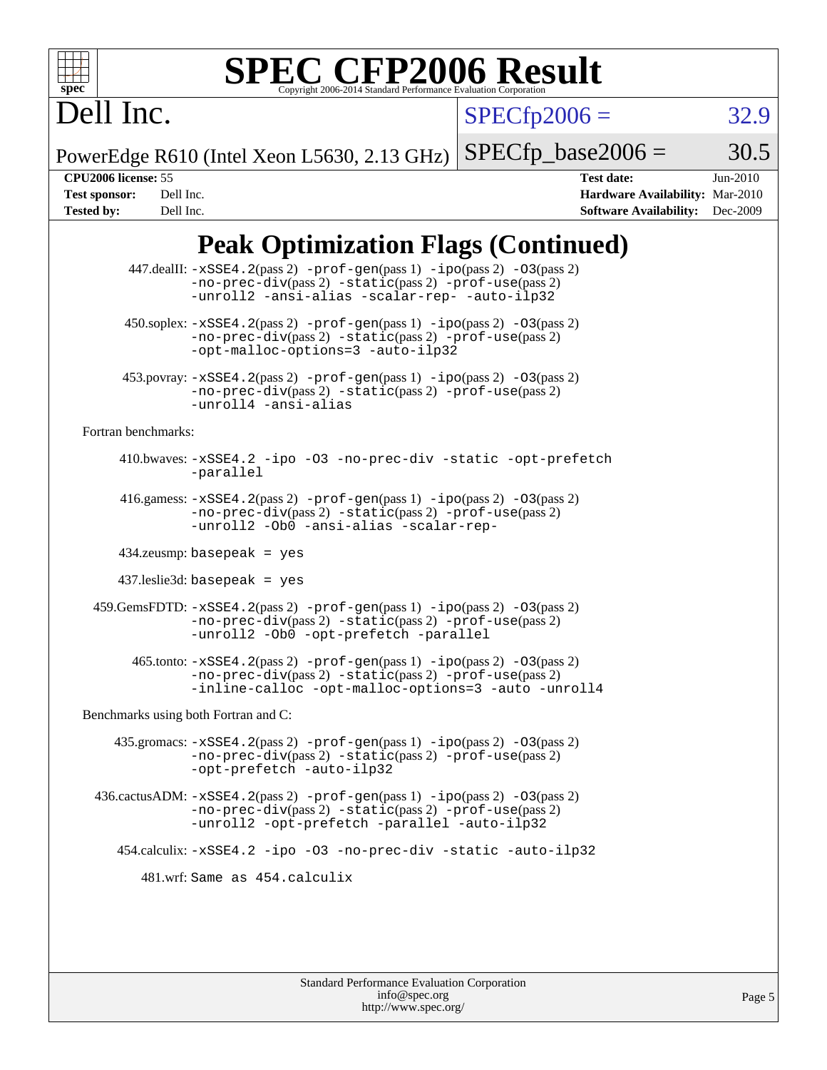

# **[SPEC CFP2006 Result](http://www.spec.org/auto/cpu2006/Docs/result-fields.html#SPECCFP2006Result)**

 $SPECfp2006 = 32.9$  $SPECfp2006 = 32.9$ 

PowerEdge R610 (Intel Xeon L5630, 2.13 GHz)  $SPECTp\_base2006 = 30.5$ 

Dell Inc.

**[CPU2006 license:](http://www.spec.org/auto/cpu2006/Docs/result-fields.html#CPU2006license)** 55 **[Test date:](http://www.spec.org/auto/cpu2006/Docs/result-fields.html#Testdate)** Jun-2010 **[Test sponsor:](http://www.spec.org/auto/cpu2006/Docs/result-fields.html#Testsponsor)** Dell Inc. **[Hardware Availability:](http://www.spec.org/auto/cpu2006/Docs/result-fields.html#HardwareAvailability)** Mar-2010 **[Tested by:](http://www.spec.org/auto/cpu2006/Docs/result-fields.html#Testedby)** Dell Inc. **[Software Availability:](http://www.spec.org/auto/cpu2006/Docs/result-fields.html#SoftwareAvailability)** Dec-2009

## **[Peak Optimization Flags \(Continued\)](http://www.spec.org/auto/cpu2006/Docs/result-fields.html#PeakOptimizationFlags)**

|                                      | 447.dealII: -xSSE4.2(pass 2) -prof-gen(pass 1) -ipo(pass 2) -03(pass 2)<br>$-no-prec-div(pass 2) -static(pass 2) -prof-use(pass 2)$<br>-unroll2 -ansi-alias -scalar-rep- -auto-ilp32                                                  |
|--------------------------------------|---------------------------------------------------------------------------------------------------------------------------------------------------------------------------------------------------------------------------------------|
|                                      | $450.\text{soplex: } -x\text{SSE4}.2(\text{pass 2}) - \text{prof-gen}( \text{pass 1}) - \text{ipo}(\text{pass 2}) - 03(\text{pass 2})$<br>-no-prec-div(pass 2) -static(pass 2) -prof-use(pass 2)<br>-opt-malloc-options=3 -auto-ilp32 |
|                                      | $453.$ povray: $-xSSE4.2(pass2)$ -prof-gen $(pass1)$ -ipo $(pass2)$ -03 $(pass2)$<br>-no-prec-div(pass 2) -static(pass 2) -prof-use(pass 2)<br>-unroll4 -ansi-alias                                                                   |
| Fortran benchmarks:                  |                                                                                                                                                                                                                                       |
|                                      | 410.bwaves: -xSSE4.2 -ipo -03 -no-prec-div -static -opt-prefetch<br>-parallel                                                                                                                                                         |
|                                      | 416.gamess: $-xSSE4$ . $2(pass 2)$ -prof-gen(pass 1) -ipo(pass 2) -03(pass 2)<br>-no-prec-div(pass 2) -static(pass 2) -prof-use(pass 2)<br>-unroll2 -Ob0 -ansi-alias -scalar-rep-                                                     |
|                                      | $434$ .zeusmp: basepeak = yes                                                                                                                                                                                                         |
|                                      | $437$ .leslie3d: basepeak = yes                                                                                                                                                                                                       |
|                                      | 459. GemsFDTD: -xSSE4. 2(pass 2) -prof-gen(pass 1) -ipo(pass 2) -03(pass 2)<br>$-no-prec-div(pass 2) -static(pass 2) -prot-use(pass 2)$<br>-unroll2 -Ob0 -opt-prefetch -parallel                                                      |
|                                      | $465$ .tonto: $-xSSE4$ . 2(pass 2) $-prof-gen(pass 1) -ipo(pass 2) -03(pass 2)$<br>-no-prec-div(pass 2) -static(pass 2) -prof-use(pass 2)<br>-inline-calloc -opt-malloc-options=3 -auto -unroll4                                      |
| Benchmarks using both Fortran and C: |                                                                                                                                                                                                                                       |
|                                      | 435.gromacs: $-xSSE4$ . 2(pass 2) $-prof$ -gen(pass 1) $-ipo$ (pass 2) $-O3$ (pass 2)<br>-no-prec-div(pass 2) -static(pass 2) -prof-use(pass 2)<br>-opt-prefetch -auto-ilp32                                                          |
|                                      | $436.cactusADM: -xSSE4.2(pass 2) -prof-gen(pass 1) -ipo(pass 2) -03(pass 2)$<br>-no-prec-div(pass 2) -static(pass 2) -prof-use(pass 2)<br>-unroll2 -opt-prefetch -parallel -auto-ilp32                                                |
|                                      | 454.calculix: -xSSE4.2 -ipo -03 -no-prec-div -static -auto-ilp32                                                                                                                                                                      |
|                                      | 481.wrf: Same as 454.calculix                                                                                                                                                                                                         |
|                                      |                                                                                                                                                                                                                                       |